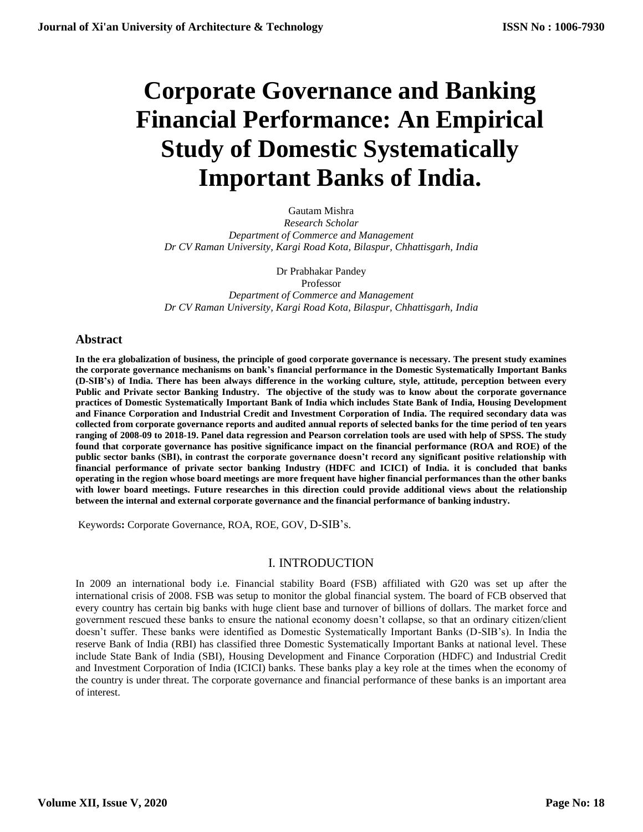# **Corporate Governance and Banking Financial Performance: An Empirical Study of Domestic Systematically Important Banks of India.**

Gautam Mishra

*Research Scholar Department of Commerce and Management Dr CV Raman University, Kargi Road Kota, Bilaspur, Chhattisgarh, India*

Dr Prabhakar Pandey

Professor *Department of Commerce and Management Dr CV Raman University, Kargi Road Kota, Bilaspur, Chhattisgarh, India*

# **Abstract**

**In the era globalization of business, the principle of good corporate governance is necessary. The present study examines the corporate governance mechanisms on bank's financial performance in the Domestic Systematically Important Banks (D-SIB's) of India. There has been always difference in the working culture, style, attitude, perception between every Public and Private sector Banking Industry. The objective of the study was to know about the corporate governance practices of Domestic Systematically Important Bank of India which includes State Bank of India, Housing Development and Finance Corporation and Industrial Credit and Investment Corporation of India. The required secondary data was collected from corporate governance reports and audited annual reports of selected banks for the time period of ten years ranging of 2008-09 to 2018-19. Panel data regression and Pearson correlation tools are used with help of SPSS. The study found that corporate governance has positive significance impact on the financial performance (ROA and ROE) of the public sector banks (SBI), in contrast the corporate governance doesn't record any significant positive relationship with financial performance of private sector banking Industry (HDFC and ICICI) of India. it is concluded that banks operating in the region whose board meetings are more frequent have higher financial performances than the other banks with lower board meetings. Future researches in this direction could provide additional views about the relationship between the internal and external corporate governance and the financial performance of banking industry.**

Keywords**:** Corporate Governance, ROA, ROE, GOV, D-SIB's.

# I. INTRODUCTION

In 2009 an international body i.e. Financial stability Board (FSB) affiliated with G20 was set up after the international crisis of 2008. FSB was setup to monitor the global financial system. The board of FCB observed that every country has certain big banks with huge client base and turnover of billions of dollars. The market force and government rescued these banks to ensure the national economy doesn't collapse, so that an ordinary citizen/client doesn't suffer. These banks were identified as Domestic Systematically Important Banks (D-SIB's). In India the reserve Bank of India (RBI) has classified three Domestic Systematically Important Banks at national level. These include State Bank of India (SBI), Housing Development and Finance Corporation (HDFC) and Industrial Credit and Investment Corporation of India (ICICI) banks. These banks play a key role at the times when the economy of the country is under threat. The corporate governance and financial performance of these banks is an important area of interest.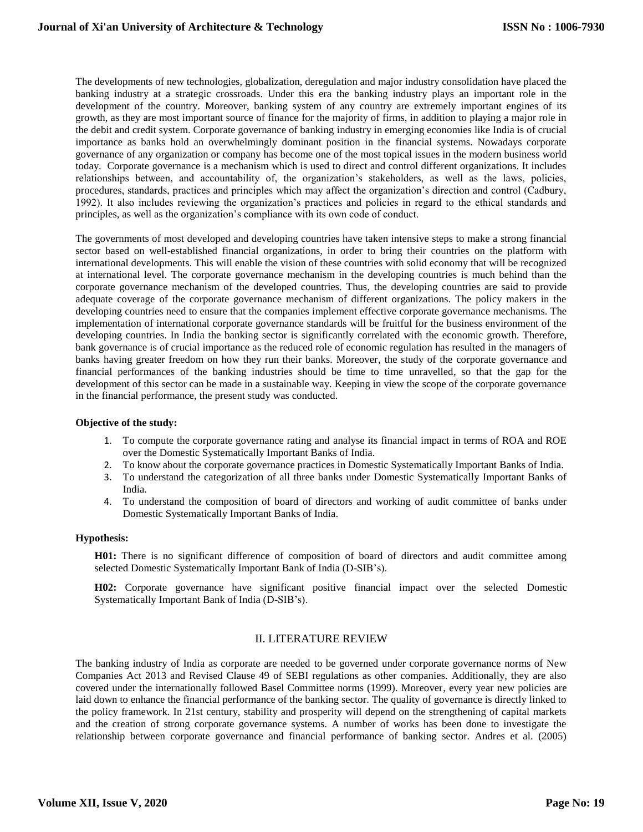The developments of new technologies, globalization, deregulation and major industry consolidation have placed the banking industry at a strategic crossroads. Under this era the banking industry plays an important role in the development of the country. Moreover, banking system of any country are extremely important engines of its growth, as they are most important source of finance for the majority of firms, in addition to playing a major role in the debit and credit system. Corporate governance of banking industry in emerging economies like India is of crucial importance as banks hold an overwhelmingly dominant position in the financial systems. Nowadays corporate governance of any organization or company has become one of the most topical issues in the modern business world today. Corporate governance is a mechanism which is used to direct and control different organizations. It includes relationships between, and accountability of, the organization's stakeholders, as well as the laws, policies, procedures, standards, practices and principles which may affect the organization's direction and control (Cadbury, 1992). It also includes reviewing the organization's practices and policies in regard to the ethical standards and principles, as well as the organization's compliance with its own code of conduct.

The governments of most developed and developing countries have taken intensive steps to make a strong financial sector based on well-established financial organizations, in order to bring their countries on the platform with international developments. This will enable the vision of these countries with solid economy that will be recognized at international level. The corporate governance mechanism in the developing countries is much behind than the corporate governance mechanism of the developed countries. Thus, the developing countries are said to provide adequate coverage of the corporate governance mechanism of different organizations. The policy makers in the developing countries need to ensure that the companies implement effective corporate governance mechanisms. The implementation of international corporate governance standards will be fruitful for the business environment of the developing countries. In India the banking sector is significantly correlated with the economic growth. Therefore, bank governance is of crucial importance as the reduced role of economic regulation has resulted in the managers of banks having greater freedom on how they run their banks. Moreover, the study of the corporate governance and financial performances of the banking industries should be time to time unravelled, so that the gap for the development of this sector can be made in a sustainable way. Keeping in view the scope of the corporate governance in the financial performance, the present study was conducted.

## **Objective of the study:**

- 1. To compute the corporate governance rating and analyse its financial impact in terms of ROA and ROE over the Domestic Systematically Important Banks of India.
- 2. To know about the corporate governance practices in Domestic Systematically Important Banks of India.
- 3. To understand the categorization of all three banks under Domestic Systematically Important Banks of India.
- 4. To understand the composition of board of directors and working of audit committee of banks under Domestic Systematically Important Banks of India.

## **Hypothesis:**

**H01:** There is no significant difference of composition of board of directors and audit committee among selected Domestic Systematically Important Bank of India (D-SIB's).

**H02:** Corporate governance have significant positive financial impact over the selected Domestic Systematically Important Bank of India (D-SIB's).

# II. LITERATURE REVIEW

The banking industry of India as corporate are needed to be governed under corporate governance norms of New Companies Act 2013 and Revised Clause 49 of SEBI regulations as other companies. Additionally, they are also covered under the internationally followed Basel Committee norms (1999). Moreover, every year new policies are laid down to enhance the financial performance of the banking sector. The quality of governance is directly linked to the policy framework. In 21st century, stability and prosperity will depend on the strengthening of capital markets and the creation of strong corporate governance systems. A number of works has been done to investigate the relationship between corporate governance and financial performance of banking sector. Andres et al. (2005)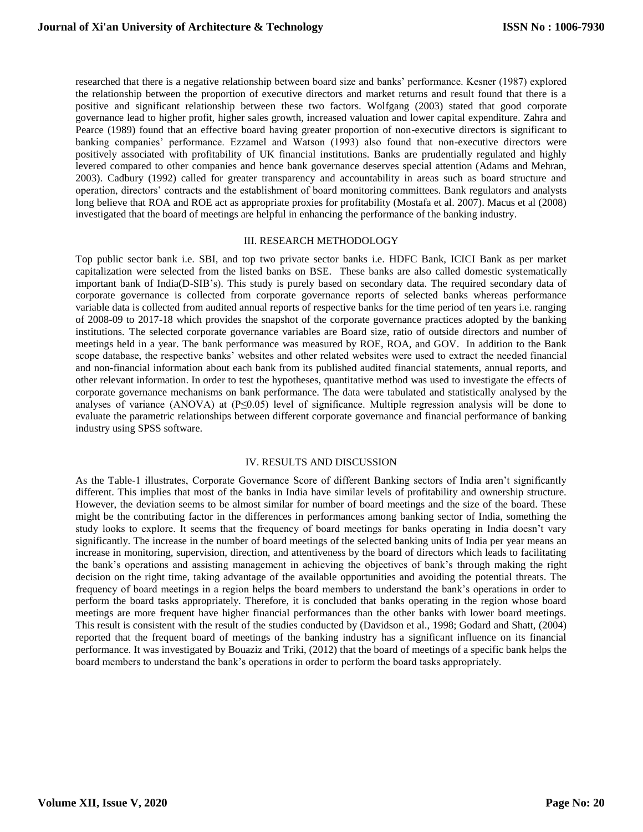researched that there is a negative relationship between board size and banks' performance. Kesner (1987) explored the relationship between the proportion of executive directors and market returns and result found that there is a positive and significant relationship between these two factors. Wolfgang (2003) stated that good corporate governance lead to higher profit, higher sales growth, increased valuation and lower capital expenditure. Zahra and Pearce (1989) found that an effective board having greater proportion of non-executive directors is significant to banking companies' performance. Ezzamel and Watson (1993) also found that non-executive directors were positively associated with profitability of UK financial institutions. Banks are prudentially regulated and highly levered compared to other companies and hence bank governance deserves special attention (Adams and Mehran, 2003). Cadbury (1992) called for greater transparency and accountability in areas such as board structure and operation, directors' contracts and the establishment of board monitoring committees. Bank regulators and analysts long believe that ROA and ROE act as appropriate proxies for profitability (Mostafa et al. 2007). Macus et al (2008) investigated that the board of meetings are helpful in enhancing the performance of the banking industry.

#### III. RESEARCH METHODOLOGY

Top public sector bank i.e. SBI, and top two private sector banks i.e. HDFC Bank, ICICI Bank as per market capitalization were selected from the listed banks on BSE. These banks are also called domestic systematically important bank of India(D-SIB's). This study is purely based on secondary data. The required secondary data of corporate governance is collected from corporate governance reports of selected banks whereas performance variable data is collected from audited annual reports of respective banks for the time period of ten years i.e. ranging of 2008-09 to 2017-18 which provides the snapshot of the corporate governance practices adopted by the banking institutions. The selected corporate governance variables are Board size, ratio of outside directors and number of meetings held in a year. The bank performance was measured by ROE, ROA, and GOV. In addition to the Bank scope database, the respective banks' websites and other related websites were used to extract the needed financial and non-financial information about each bank from its published audited financial statements, annual reports, and other relevant information. In order to test the hypotheses, quantitative method was used to investigate the effects of corporate governance mechanisms on bank performance. The data were tabulated and statistically analysed by the analyses of variance (ANOVA) at (P≤0.05) level of significance. Multiple regression analysis will be done to evaluate the parametric relationships between different corporate governance and financial performance of banking industry using SPSS software.

## IV. RESULTS AND DISCUSSION

As the Table-1 illustrates, Corporate Governance Score of different Banking sectors of India aren't significantly different. This implies that most of the banks in India have similar levels of profitability and ownership structure. However, the deviation seems to be almost similar for number of board meetings and the size of the board. These might be the contributing factor in the differences in performances among banking sector of India, something the study looks to explore. It seems that the frequency of board meetings for banks operating in India doesn't vary significantly. The increase in the number of board meetings of the selected banking units of India per year means an increase in monitoring, supervision, direction, and attentiveness by the board of directors which leads to facilitating the bank's operations and assisting management in achieving the objectives of bank's through making the right decision on the right time, taking advantage of the available opportunities and avoiding the potential threats. The frequency of board meetings in a region helps the board members to understand the bank's operations in order to perform the board tasks appropriately. Therefore, it is concluded that banks operating in the region whose board meetings are more frequent have higher financial performances than the other banks with lower board meetings. This result is consistent with the result of the studies conducted by (Davidson et al., 1998; Godard and Shatt, (2004) reported that the frequent board of meetings of the banking industry has a significant influence on its financial performance. It was investigated by Bouaziz and Triki, (2012) that the board of meetings of a specific bank helps the board members to understand the bank's operations in order to perform the board tasks appropriately.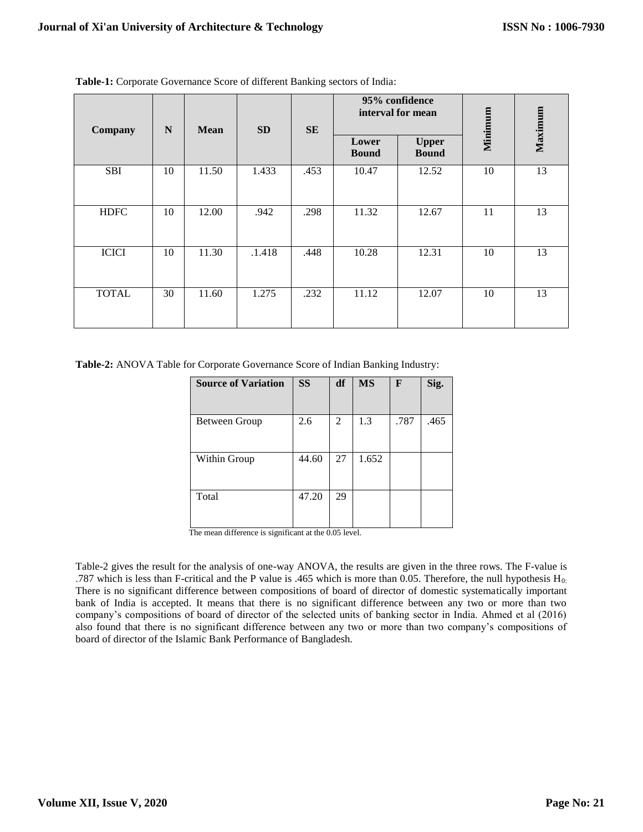| Company      | $\mathbf N$<br><b>Mean</b> | <b>SD</b> | <b>SE</b> | 95% confidence<br>interval for mean |                       | Minimum                      | Maximum |    |
|--------------|----------------------------|-----------|-----------|-------------------------------------|-----------------------|------------------------------|---------|----|
|              |                            |           |           |                                     | Lower<br><b>Bound</b> | <b>Upper</b><br><b>Bound</b> |         |    |
| <b>SBI</b>   | 10                         | 11.50     | 1.433     | .453                                | 10.47                 | 12.52                        | 10      | 13 |
| <b>HDFC</b>  | 10                         | 12.00     | .942      | .298                                | 11.32                 | 12.67                        | 11      | 13 |
| <b>ICICI</b> | 10                         | 11.30     | .1.418    | .448                                | 10.28                 | 12.31                        | 10      | 13 |
| <b>TOTAL</b> | 30                         | 11.60     | 1.275     | .232                                | 11.12                 | 12.07                        | 10      | 13 |

**Table-1:** Corporate Governance Score of different Banking sectors of India:

**Table-2:** ANOVA Table for Corporate Governance Score of Indian Banking Industry:

| <b>Source of Variation</b> | <b>SS</b> | df | <b>MS</b> | $\mathbf{F}$ | Sig. |
|----------------------------|-----------|----|-----------|--------------|------|
| Between Group              | 2.6       | 2  | 1.3       | .787         | .465 |
|                            |           |    |           |              |      |
| Within Group               | 44.60     | 27 | 1.652     |              |      |
| Total                      | 47.20     | 29 |           |              |      |

The mean difference is significant at the 0.05 level.

Table-2 gives the result for the analysis of one-way ANOVA, the results are given in the three rows. The F-value is .787 which is less than F-critical and the P value is .465 which is more than 0.05. Therefore, the null hypothesis  $H_0$ : There is no significant difference between compositions of board of director of domestic systematically important bank of India is accepted. It means that there is no significant difference between any two or more than two company's compositions of board of director of the selected units of banking sector in India. Ahmed et al (2016) also found that there is no significant difference between any two or more than two company's compositions of board of director of the Islamic Bank Performance of Bangladesh.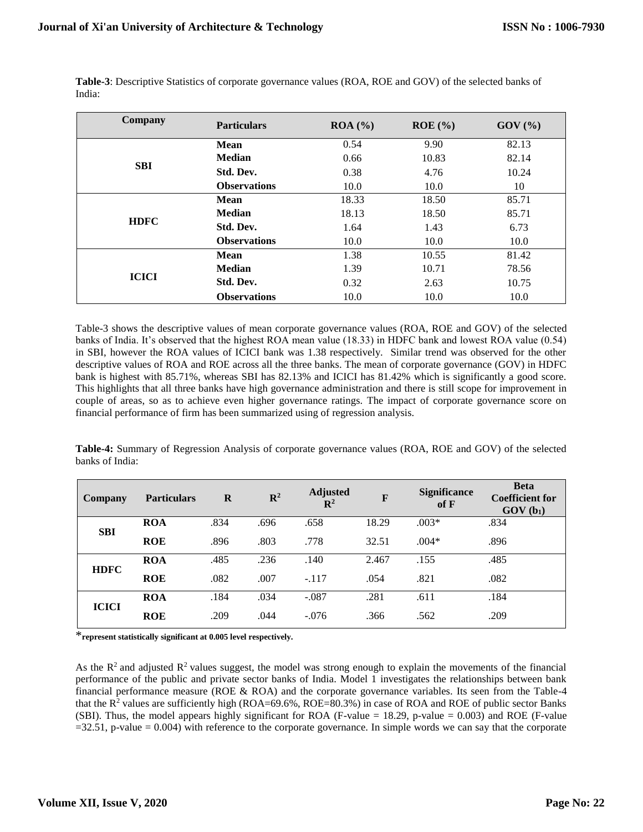| Company      | <b>Particulars</b>  | ROA (%) | $ROE$ (%) | $GOV$ $(\% )$ |
|--------------|---------------------|---------|-----------|---------------|
|              | <b>Mean</b>         | 0.54    | 9.90      | 82.13         |
|              | <b>Median</b>       | 0.66    | 10.83     | 82.14         |
| <b>SBI</b>   | Std. Dev.           | 0.38    | 4.76      | 10.24         |
|              | <b>Observations</b> | 10.0    | 10.0      | 10            |
|              | Mean                | 18.33   | 18.50     | 85.71         |
| <b>HDFC</b>  | <b>Median</b>       | 18.13   | 18.50     | 85.71         |
|              | Std. Dev.           | 1.64    | 1.43      | 6.73          |
|              | <b>Observations</b> | 10.0    | 10.0      | 10.0          |
|              | <b>Mean</b>         | 1.38    | 10.55     | 81.42         |
|              | <b>Median</b>       | 1.39    | 10.71     | 78.56         |
| <b>ICICI</b> | Std. Dev.           | 0.32    | 2.63      | 10.75         |
|              | <b>Observations</b> | 10.0    | 10.0      | 10.0          |

**Table-3**: Descriptive Statistics of corporate governance values (ROA, ROE and GOV) of the selected banks of India:

Table-3 shows the descriptive values of mean corporate governance values (ROA, ROE and GOV) of the selected banks of India. It's observed that the highest ROA mean value (18.33) in HDFC bank and lowest ROA value (0.54) in SBI, however the ROA values of ICICI bank was 1.38 respectively. Similar trend was observed for the other descriptive values of ROA and ROE across all the three banks. The mean of corporate governance (GOV) in HDFC bank is highest with 85.71%, whereas SBI has 82.13% and ICICI has 81.42% which is significantly a good score. This highlights that all three banks have high governance administration and there is still scope for improvement in couple of areas, so as to achieve even higher governance ratings. The impact of corporate governance score on financial performance of firm has been summarized using of regression analysis.

**Table-4:** Summary of Regression Analysis of corporate governance values (ROA, ROE and GOV) of the selected banks of India:

| <b>Company</b> | <b>Particulars</b> | $\mathbf R$ | $\mathbb{R}^2$ | <b>Adjusted</b><br>$\mathbb{R}^2$ | $\mathbf{F}$ | <b>Significance</b><br>of <b>F</b> | <b>Beta</b><br><b>Coefficient for</b><br>$GOV(b_1)$ |
|----------------|--------------------|-------------|----------------|-----------------------------------|--------------|------------------------------------|-----------------------------------------------------|
| <b>SBI</b>     | <b>ROA</b>         | .834        | .696           | .658                              | 18.29        | $.003*$                            | .834                                                |
|                | <b>ROE</b>         | .896        | .803           | .778                              | 32.51        | $.004*$                            | .896                                                |
| <b>HDFC</b>    | <b>ROA</b>         | .485        | .236           | .140                              | 2.467        | .155                               | .485                                                |
|                | <b>ROE</b>         | .082        | .007           | $-.117$                           | .054         | .821                               | .082                                                |
| <b>ICICI</b>   | <b>ROA</b>         | .184        | .034           | $-.087$                           | .281         | .611                               | .184                                                |
|                | <b>ROE</b>         | .209        | .044           | $-.076$                           | .366         | .562                               | .209                                                |

\***represent statistically significant at 0.005 level respectively.** 

As the  $R^2$  and adjusted  $R^2$  values suggest, the model was strong enough to explain the movements of the financial performance of the public and private sector banks of India. Model 1 investigates the relationships between bank financial performance measure (ROE & ROA) and the corporate governance variables. Its seen from the Table-4 that the  $R^2$  values are sufficiently high (ROA=69.6%, ROE=80.3%) in case of ROA and ROE of public sector Banks (SBI). Thus, the model appears highly significant for ROA (F-value = 18.29, p-value = 0.003) and ROE (F-value  $=32.51$ , p-value  $= 0.004$ ) with reference to the corporate governance. In simple words we can say that the corporate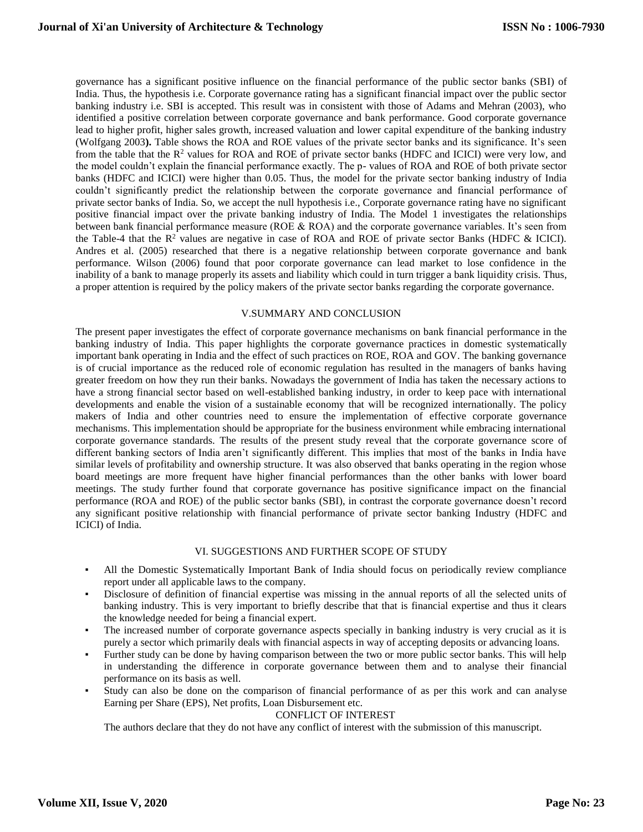governance has a significant positive influence on the financial performance of the public sector banks (SBI) of India. Thus, the hypothesis i.e. Corporate governance rating has a significant financial impact over the public sector banking industry i.e. SBI is accepted. This result was in consistent with those of Adams and Mehran (2003), who identified a positive correlation between corporate governance and bank performance. Good corporate governance lead to higher profit, higher sales growth, increased valuation and lower capital expenditure of the banking industry (Wolfgang 2003**).** Table shows the ROA and ROE values of the private sector banks and its significance. It's seen from the table that the R<sup>2</sup> values for ROA and ROE of private sector banks (HDFC and ICICI) were very low, and the model couldn't explain the financial performance exactly. The p- values of ROA and ROE of both private sector banks (HDFC and ICICI) were higher than 0.05. Thus, the model for the private sector banking industry of India couldn't significantly predict the relationship between the corporate governance and financial performance of private sector banks of India. So, we accept the null hypothesis i.e., Corporate governance rating have no significant positive financial impact over the private banking industry of India. The Model 1 investigates the relationships between bank financial performance measure (ROE & ROA) and the corporate governance variables. It's seen from the Table-4 that the  $R^2$  values are negative in case of ROA and ROE of private sector Banks (HDFC  $\&$  ICICI). Andres et al. (2005) researched that there is a negative relationship between corporate governance and bank performance. Wilson (2006) found that poor corporate governance can lead market to lose confidence in the inability of a bank to manage properly its assets and liability which could in turn trigger a bank liquidity crisis. Thus, a proper attention is required by the policy makers of the private sector banks regarding the corporate governance.

## V.SUMMARY AND CONCLUSION

The present paper investigates the effect of corporate governance mechanisms on bank financial performance in the banking industry of India. This paper highlights the corporate governance practices in domestic systematically important bank operating in India and the effect of such practices on ROE, ROA and GOV. The banking governance is of crucial importance as the reduced role of economic regulation has resulted in the managers of banks having greater freedom on how they run their banks. Nowadays the government of India has taken the necessary actions to have a strong financial sector based on well-established banking industry, in order to keep pace with international developments and enable the vision of a sustainable economy that will be recognized internationally. The policy makers of India and other countries need to ensure the implementation of effective corporate governance mechanisms. This implementation should be appropriate for the business environment while embracing international corporate governance standards. The results of the present study reveal that the corporate governance score of different banking sectors of India aren't significantly different. This implies that most of the banks in India have similar levels of profitability and ownership structure. It was also observed that banks operating in the region whose board meetings are more frequent have higher financial performances than the other banks with lower board meetings. The study further found that corporate governance has positive significance impact on the financial performance (ROA and ROE) of the public sector banks (SBI), in contrast the corporate governance doesn't record any significant positive relationship with financial performance of private sector banking Industry (HDFC and ICICI) of India.

#### VI. SUGGESTIONS AND FURTHER SCOPE OF STUDY

- All the Domestic Systematically Important Bank of India should focus on periodically review compliance report under all applicable laws to the company.
- Disclosure of definition of financial expertise was missing in the annual reports of all the selected units of banking industry. This is very important to briefly describe that that is financial expertise and thus it clears the knowledge needed for being a financial expert.
- The increased number of corporate governance aspects specially in banking industry is very crucial as it is purely a sector which primarily deals with financial aspects in way of accepting deposits or advancing loans.
- Further study can be done by having comparison between the two or more public sector banks. This will help in understanding the difference in corporate governance between them and to analyse their financial performance on its basis as well.
- Study can also be done on the comparison of financial performance of as per this work and can analyse Earning per Share (EPS), Net profits, Loan Disbursement etc.

#### CONFLICT OF INTEREST

The authors declare that they do not have any conflict of interest with the submission of this manuscript.